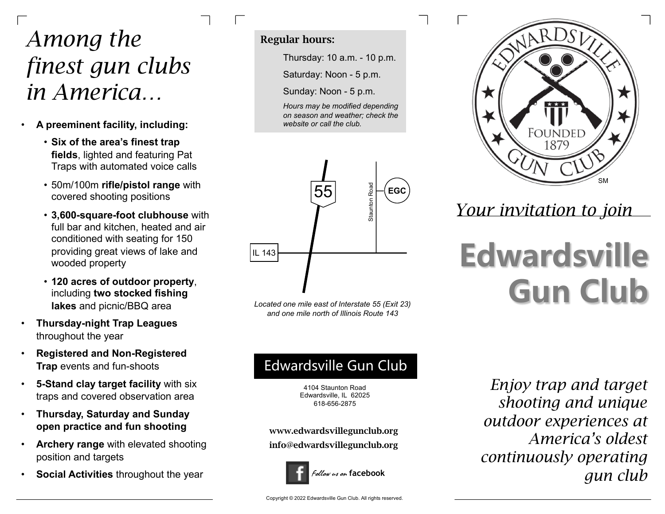## *Among the finest gun clubs in America…*

- **A preeminent facility, including:**
	- **Six of the area's finest trap fields**, lighted and featuring Pat Traps with automated voice calls
	- 50m/100m **rifle/pistol range** with covered shooting positions
	- **3,600-square-foot clubhouse** with full bar and kitchen, heated and air conditioned with seating for 150 providing great views of lake and wooded property
	- **120 acres of outdoor property**, including **two stocked fishing lakes** and picnic/BBQ area
- **Thursday-night Trap Leagues** throughout the year
- **Registered and Non-Registered Trap** events and fun-shoots
- **5-Stand clay target facility** with six traps and covered observation area
- **Thursday, Saturday and Sunday open practice and fun shooting**
- **Archery range** with elevated shooting position and targets
- **Social Activities** throughout the year

### Regular hours:

Thursday: 10 a.m. - 10 p.m.

Saturday: Noon - 5 p.m.

Sunday: Noon - 5 p.m.

*Hours may be modified depending on season and weather; check the website or call the club.*



*Located one mile east of Interstate 55 (Exit 23) and one mile north of Illinois Route 143*

## Edwardsville Gun Club

4104 Staunton Road Edwardsville, IL 62025 618-656-2875

www.edwardsvillegunclub.org info@edwardsvillegunclub.org



*Enjoy trap and target shooting and unique outdoor experiences at America's oldest continuously operating gun club*



*Your invitation to join*

# **Edwardsville Gun Club**